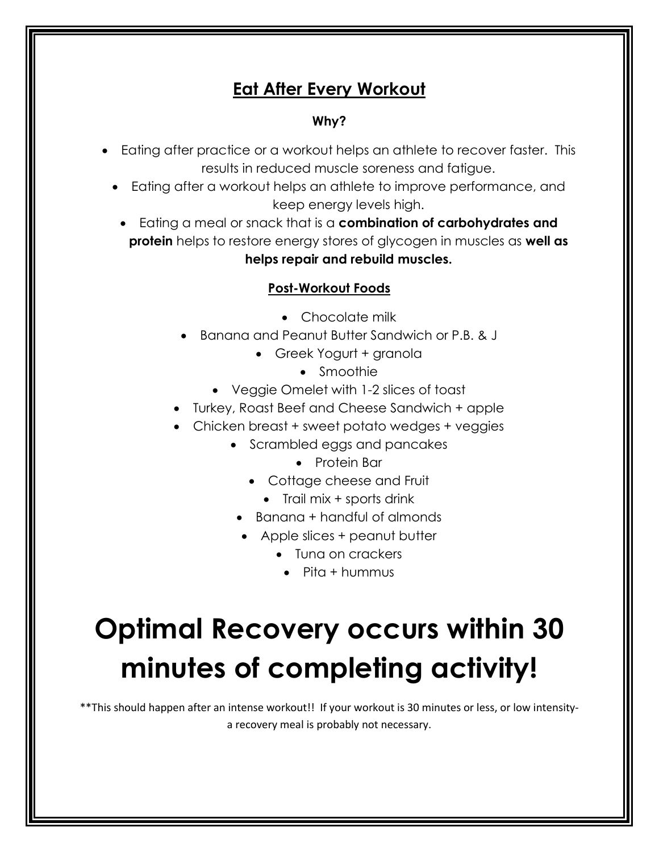# **Eat After Every Workout**

#### **Why?**

- Eating after practice or a workout helps an athlete to recover faster. This results in reduced muscle soreness and fatigue.
	- Eating after a workout helps an athlete to improve performance, and keep energy levels high.
	- Eating a meal or snack that is a **combination of carbohydrates and protein** helps to restore energy stores of glycogen in muscles as **well as helps repair and rebuild muscles.**

#### **Post-Workout Foods**

- Chocolate milk
- Banana and Peanut Butter Sandwich or P.B. & J
	- Greek Yogurt + granola
		- Smoothie
	- Veggie Omelet with 1-2 slices of toast
- Turkey, Roast Beef and Cheese Sandwich + apple
- Chicken breast + sweet potato wedges + veggies
	- Scrambled eggs and pancakes
		- Protein Bar
		- Cottage cheese and Fruit
			- Trail mix + sports drink
		- Banana + handful of almonds
		- Apple slices + peanut butter
			- Tuna on crackers
				- $\bullet$  Pita + hummus

# **Optimal Recovery occurs within 30 minutes of completing activity!**

\*\*This should happen after an intense workout!! If your workout is 30 minutes or less, or low intensitya recovery meal is probably not necessary.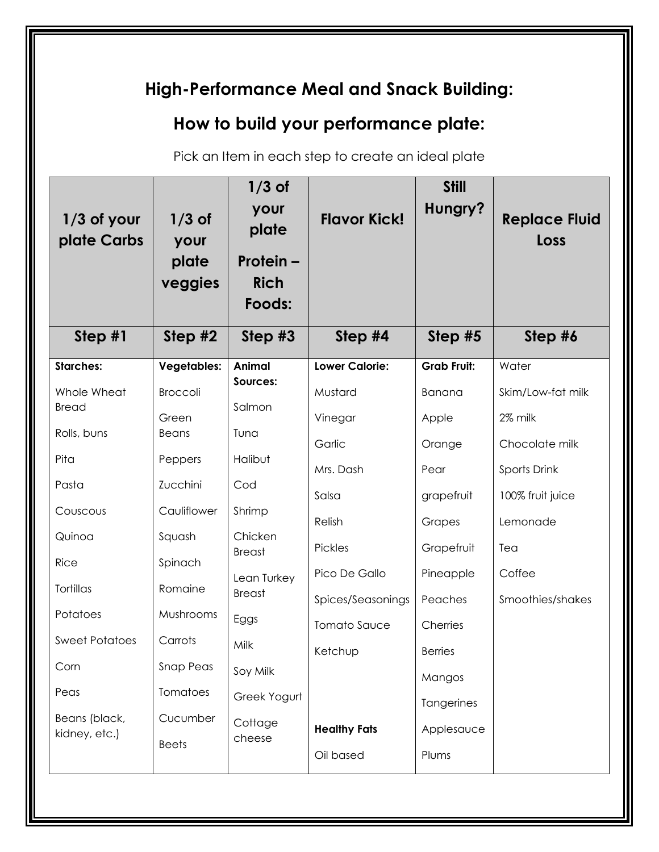| High-Performance Meal and Snack Building:                                                                                                                                                        |                                                                                                                                                                                                   |                                                                                                                                                                                 |                                                                                                                                                                          |                                                                                                                                                                             |                                                                                                                                              |  |  |
|--------------------------------------------------------------------------------------------------------------------------------------------------------------------------------------------------|---------------------------------------------------------------------------------------------------------------------------------------------------------------------------------------------------|---------------------------------------------------------------------------------------------------------------------------------------------------------------------------------|--------------------------------------------------------------------------------------------------------------------------------------------------------------------------|-----------------------------------------------------------------------------------------------------------------------------------------------------------------------------|----------------------------------------------------------------------------------------------------------------------------------------------|--|--|
|                                                                                                                                                                                                  | How to build your performance plate:                                                                                                                                                              |                                                                                                                                                                                 |                                                                                                                                                                          |                                                                                                                                                                             |                                                                                                                                              |  |  |
|                                                                                                                                                                                                  |                                                                                                                                                                                                   |                                                                                                                                                                                 | Pick an Item in each step to create an ideal plate                                                                                                                       |                                                                                                                                                                             |                                                                                                                                              |  |  |
| $1/3$ of your<br>plate Carbs                                                                                                                                                                     | $1/3$ of<br>your<br>plate<br>veggies                                                                                                                                                              | $1/3$ of<br>your<br>plate<br><b>Protein –</b><br><b>Rich</b><br>Foods:                                                                                                          | <b>Flavor Kick!</b>                                                                                                                                                      | <b>Still</b><br>Hungry?                                                                                                                                                     | <b>Replace Fluid</b><br>Loss                                                                                                                 |  |  |
| Step $#1$                                                                                                                                                                                        | Step $#2$                                                                                                                                                                                         | Step #3                                                                                                                                                                         | Step #4                                                                                                                                                                  | Step #5                                                                                                                                                                     | Step #6                                                                                                                                      |  |  |
| <b>Starches:</b><br>Whole Wheat<br><b>Bread</b><br>Rolls, buns<br>Pita<br>Pasta<br>Couscous<br>Quinoa<br>Rice<br>Tortillas<br>Potatoes<br><b>Sweet Potatoes</b><br>Corn<br>Peas<br>Beans (black, | <b>Vegetables:</b><br><b>Broccoli</b><br>Green<br><b>Beans</b><br>Peppers<br>Zucchini<br>Cauliflower<br>Squash<br>Spinach<br>Romaine<br>Mushrooms<br>Carrots<br>Snap Peas<br>Tomatoes<br>Cucumber | <b>Animal</b><br>Sources:<br>Salmon<br>Tuna<br>Halibut<br>Cod<br>Shrimp<br>Chicken<br><b>Breast</b><br>Lean Turkey<br><b>Breast</b><br>Eggs<br>Milk<br>Soy Milk<br>Greek Yogurt | <b>Lower Calorie:</b><br>Mustard<br>Vinegar<br>Garlic<br>Mrs. Dash<br>Salsa<br>Relish<br>Pickles<br>Pico De Gallo<br>Spices/Seasonings<br><b>Tomato Sauce</b><br>Ketchup | <b>Grab Fruit:</b><br>Banana<br>Apple<br>Orange<br>Pear<br>grapefruit<br>Grapes<br>Grapefruit<br>Pineapple<br>Peaches<br>Cherries<br><b>Berries</b><br>Mangos<br>Tangerines | Water<br>Skim/Low-fat milk<br>2% milk<br>Chocolate milk<br>Sports Drink<br>100% fruit juice<br>Lemonade<br>Tea<br>Coffee<br>Smoothies/shakes |  |  |
| kidney, etc.)                                                                                                                                                                                    | <b>Beets</b>                                                                                                                                                                                      | Cottage<br>cheese                                                                                                                                                               | <b>Healthy Fats</b><br>Oil based                                                                                                                                         | Applesauce<br>Plums                                                                                                                                                         |                                                                                                                                              |  |  |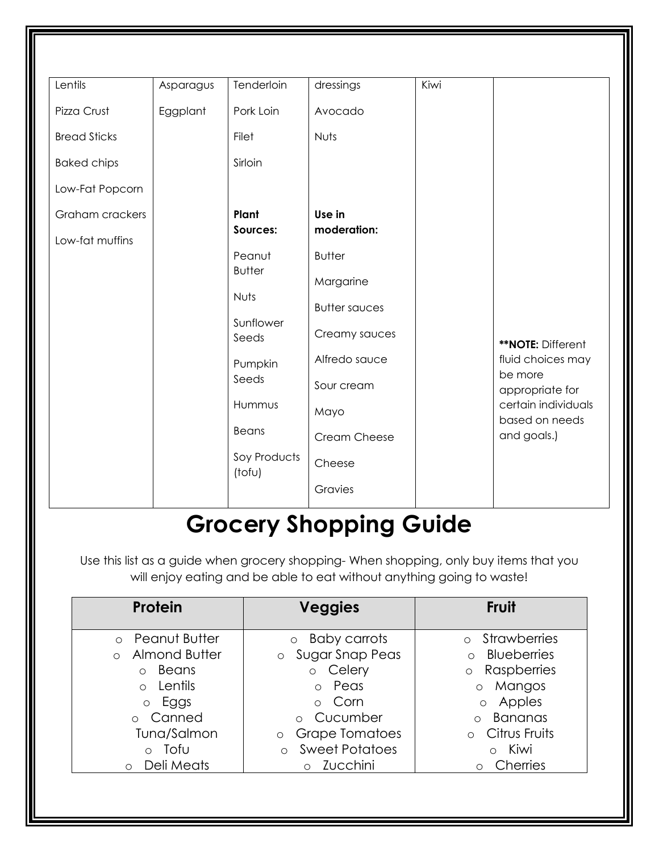| Lentils             |           | Tenderloin              |                      | Kiwi |                                       |
|---------------------|-----------|-------------------------|----------------------|------|---------------------------------------|
|                     | Asparagus |                         | dressings            |      |                                       |
| Pizza Crust         | Eggplant  | Pork Loin               | Avocado              |      |                                       |
| <b>Bread Sticks</b> |           | Filet                   | Nuts                 |      |                                       |
| <b>Baked chips</b>  |           | Sirloin                 |                      |      |                                       |
| Low-Fat Popcorn     |           |                         |                      |      |                                       |
| Graham crackers     |           | Plant                   | Use in               |      |                                       |
| Low-fat muffins     |           | Sources:                | moderation:          |      |                                       |
|                     |           | Peanut<br><b>Butter</b> | <b>Butter</b>        |      |                                       |
|                     |           |                         | Margarine            |      |                                       |
|                     |           | Nuts                    | <b>Butter sauces</b> |      |                                       |
|                     |           | Sunflower<br>Seeds      | Creamy sauces        |      | **NOTE: Different                     |
|                     |           | Pumpkin                 | Alfredo sauce        |      | fluid choices may                     |
|                     |           | Seeds                   | Sour cream           |      | be more<br>appropriate for            |
|                     |           | Hummus                  | Mayo                 |      | certain individuals<br>based on needs |
|                     |           | Beans                   | Cream Cheese         |      | and goals.)                           |
|                     |           | Soy Products<br>(tofu)  | Cheese               |      |                                       |
|                     |           |                         | Gravies              |      |                                       |

# **Grocery Shopping Guide**

Use this list as a guide when grocery shopping- When shopping, only buy items that you will enjoy eating and be able to eat without anything going to waste!

| <b>Protein</b>            | <b>Veggies</b>                   | <b>Fruit</b>                     |
|---------------------------|----------------------------------|----------------------------------|
| o Peanut Butter           | <b>Baby carrots</b><br>$\circ$   | <b>Strawberries</b><br>$\bigcap$ |
| Almond Butter<br>$\Omega$ | Sugar Snap Peas<br>$\circ$       | o Blueberries                    |
| Beans<br>$\bigcirc$       | o Celery                         | o Raspberries                    |
| Lentils<br>$\Omega$       | o Peas                           | o Mangos                         |
| o Eggs                    | o Corn                           | o Apples                         |
| Canned                    | o Cucumber                       | <b>Bananas</b>                   |
| Tuna/Salmon               | <b>Grape Tomatoes</b><br>$\circ$ | Citrus Fruits<br>$\bigcap$       |
| Tofu<br>$\circ$           | <b>Sweet Potatoes</b><br>$\circ$ | o Kiwi                           |
| Deli Meats<br>$\circ$     | o Zucchini                       | Cherries<br>$\circ$              |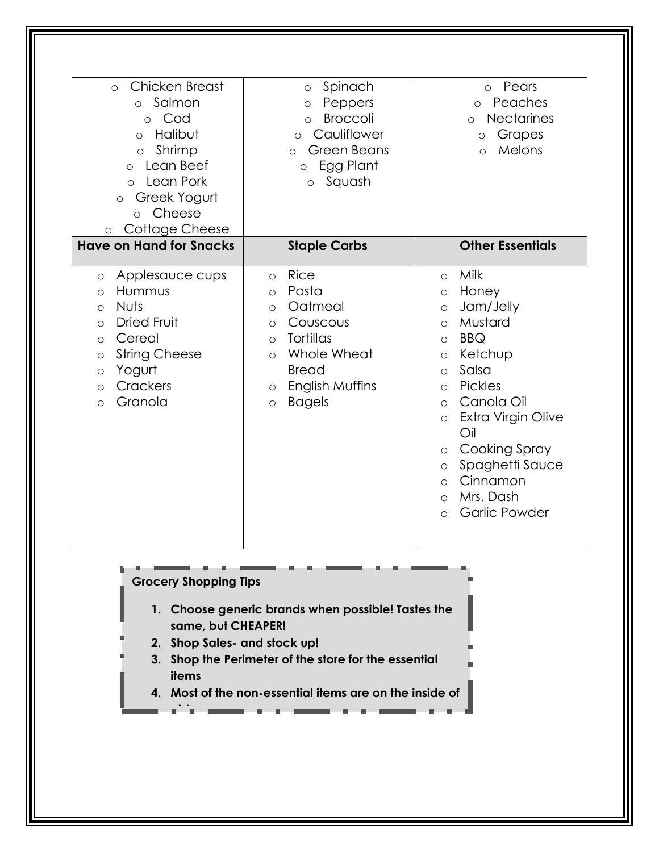| Chicken Breast<br>$\circ$<br>o Salmon<br>o Cod<br>Halibut<br>$\circ$<br>Shrimp<br>$\circ$<br>Lean Beef<br>$\circ$<br>Lean Pork<br>$\circ$<br>Greek Yogurt<br>$\circ$<br>Cheese<br>$\circ$<br>Cottage Cheese<br>$\circ$               | Spinach<br>$\circ$<br>Peppers<br>$\circ$<br><b>Broccoli</b><br>$\circ$<br>Cauliflower<br>$\circ$<br><b>Green Beans</b><br>$\circ$<br>Egg Plant<br>$\circ$<br>Squash<br>$\circ$                                      | Pears<br>$\circ$<br>Peaches<br>$\circ$<br><b>Nectarines</b><br>$\circ$<br>Grapes<br>$\circ$<br>Melons<br>$\Omega$                                                                                                                                                                                                                                                                          |
|--------------------------------------------------------------------------------------------------------------------------------------------------------------------------------------------------------------------------------------|---------------------------------------------------------------------------------------------------------------------------------------------------------------------------------------------------------------------|--------------------------------------------------------------------------------------------------------------------------------------------------------------------------------------------------------------------------------------------------------------------------------------------------------------------------------------------------------------------------------------------|
| <b>Have on Hand for Snacks</b>                                                                                                                                                                                                       | <b>Staple Carbs</b>                                                                                                                                                                                                 | <b>Other Essentials</b>                                                                                                                                                                                                                                                                                                                                                                    |
| Applesauce cups<br>$\circ$<br>Hummus<br>$\circ$<br><b>Nuts</b><br>$\circ$<br><b>Dried Fruit</b><br>$\circ$<br>Cereal<br>$\circ$<br><b>String Cheese</b><br>$\circ$<br>Yogurt<br>$\circ$<br>Crackers<br>$\circ$<br>Granola<br>$\circ$ | Rice<br>$\circ$<br>Pasta<br>$\circ$<br>Oatmeal<br>$\circ$<br>Couscous<br>$\circ$<br><b>Tortillas</b><br>$\circ$<br>Whole Wheat<br>$\circ$<br><b>Bread</b><br>English Muffins<br>$\circ$<br><b>Bagels</b><br>$\circ$ | Milk<br>$\circ$<br>Honey<br>$\circ$<br>Jam/Jelly<br>$\circ$<br>Mustard<br>$\circ$<br><b>BBQ</b><br>$\circ$<br>Ketchup<br>$\circ$<br>Salsa<br>$\circ$<br>Pickles<br>$\circ$<br>Canola Oil<br>$\circ$<br>Extra Virgin Olive<br>$\circ$<br>Oil<br>Cooking Spray<br>$\circ$<br>Spaghetti Sauce<br>$\circ$<br>Cinnamon<br>$\circ$<br>Mrs. Dash<br>$\circ$<br><b>Garlic Powder</b><br>$\bigcirc$ |

- **1. Choose generic brands when possible! Tastes the same, but CHEAPER!**
- **2. Shop Sales- and stock up!**

**aisles.** 

**3. Shop the Perimeter of the store for the essential items**

a.

**4. Most of the non-essential items are on the inside of**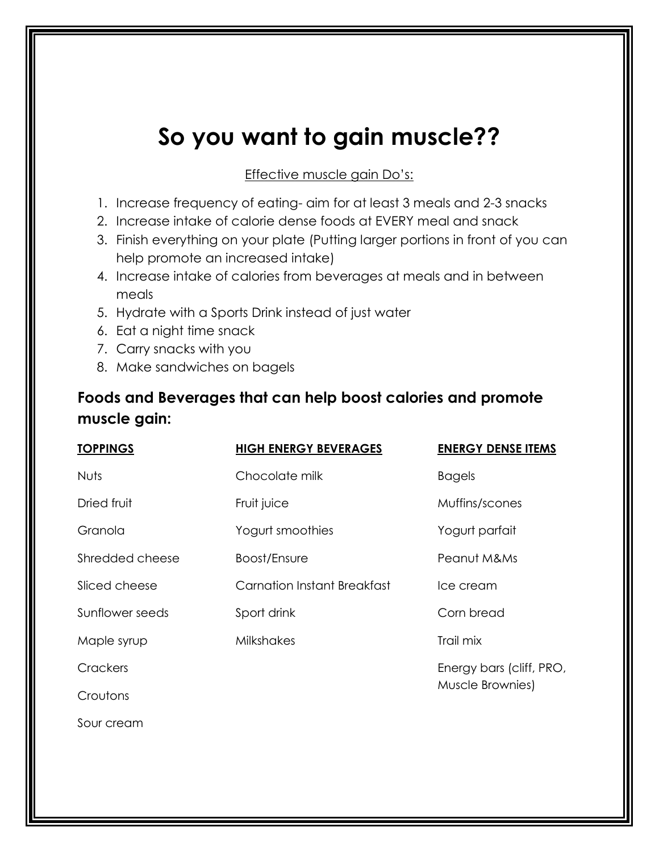# **So you want to gain muscle??**

#### Effective muscle gain Do's:

- 1. Increase frequency of eating- aim for at least 3 meals and 2-3 snacks
- 2. Increase intake of calorie dense foods at EVERY meal and snack
- 3. Finish everything on your plate (Putting larger portions in front of you can help promote an increased intake)
- 4. Increase intake of calories from beverages at meals and in between meals
- 5. Hydrate with a Sports Drink instead of just water
- 6. Eat a night time snack
- 7. Carry snacks with you
- 8. Make sandwiches on bagels

# **Foods and Beverages that can help boost calories and promote muscle gain:**

| <b>TOPPINGS</b> | <b>HIGH ENERGY BEVERAGES</b>       | <b>ENERGY DENSE ITEMS</b> |
|-----------------|------------------------------------|---------------------------|
| <b>Nuts</b>     | Chocolate milk                     | <b>Bagels</b>             |
| Dried fruit     | Fruit juice                        | Muffins/scones            |
| Granola         | Yogurt smoothies                   | Yogurt parfait            |
| Shredded cheese | Boost/Ensure                       | Peanut M&Ms               |
| Sliced cheese   | <b>Carnation Instant Breakfast</b> | Ice cream                 |
| Sunflower seeds | Sport drink                        | Corn bread                |
| Maple syrup     | <b>Milkshakes</b>                  | Trail mix                 |
| Crackers        |                                    | Energy bars (cliff, PRO,  |
| Croutons        |                                    | Muscle Brownies)          |
| Sour cream      |                                    |                           |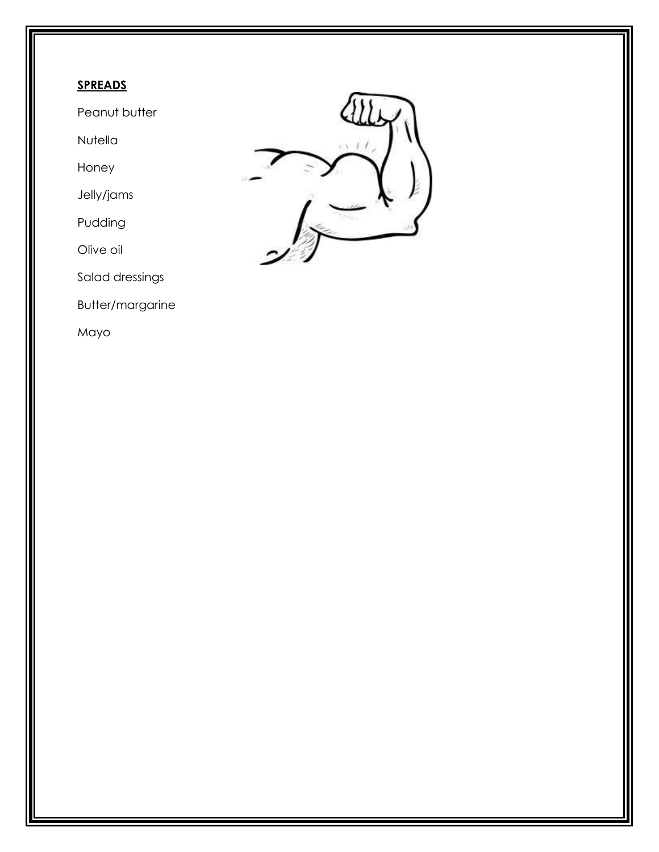# **SPREADS**

Peanut butter

Nutella

Honey

Jelly/jams

Pudding

Olive oil

Salad dressings

Butter/margarine

Mayo

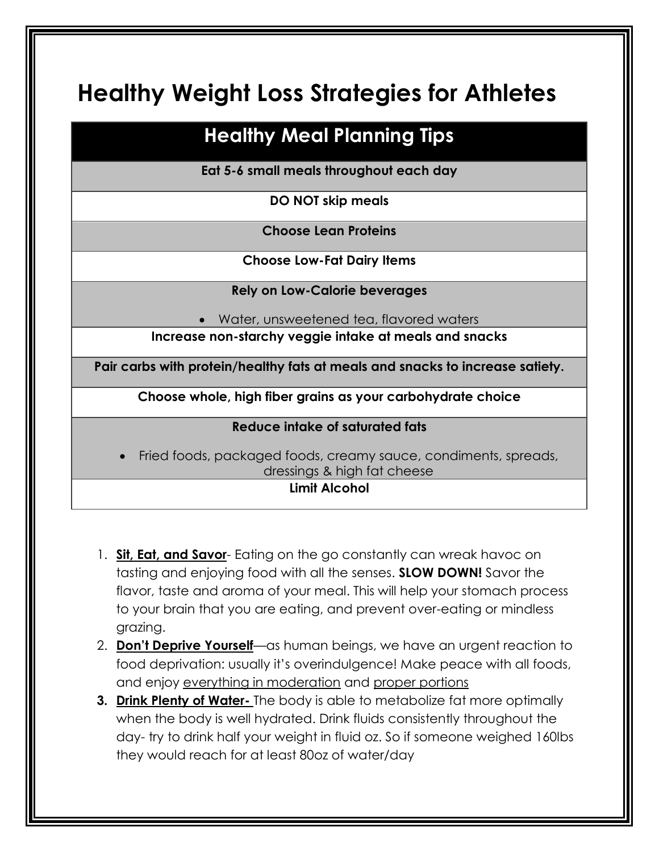# **Healthy Weight Loss Strategies for Athletes**

# **Healthy Meal Planning Tips**

**Eat 5-6 small meals throughout each day**

**DO NOT skip meals**

**Choose Lean Proteins**

**Choose Low-Fat Dairy Items**

**Rely on Low-Calorie beverages**

Water, unsweetened tea, flavored waters

**Increase non-starchy veggie intake at meals and snacks**

**Pair carbs with protein/healthy fats at meals and snacks to increase satiety.**

**Choose whole, high fiber grains as your carbohydrate choice**

#### **Reduce intake of saturated fats**

 Fried foods, packaged foods, creamy sauce, condiments, spreads, dressings & high fat cheese

## **Limit Alcohol**

- 1. **Sit, Eat, and Savor** Eating on the go constantly can wreak havoc on tasting and enjoying food with all the senses. **SLOW DOWN!** Savor the flavor, taste and aroma of your meal. This will help your stomach process to your brain that you are eating, and prevent over-eating or mindless grazing.
- 2. **Don't Deprive Yourself**—as human beings, we have an urgent reaction to food deprivation: usually it's overindulgence! Make peace with all foods, and enjoy everything in moderation and proper portions
- **3. Drink Plenty of Water-** The body is able to metabolize fat more optimally when the body is well hydrated. Drink fluids consistently throughout the day- try to drink half your weight in fluid oz. So if someone weighed 160lbs they would reach for at least 80oz of water/day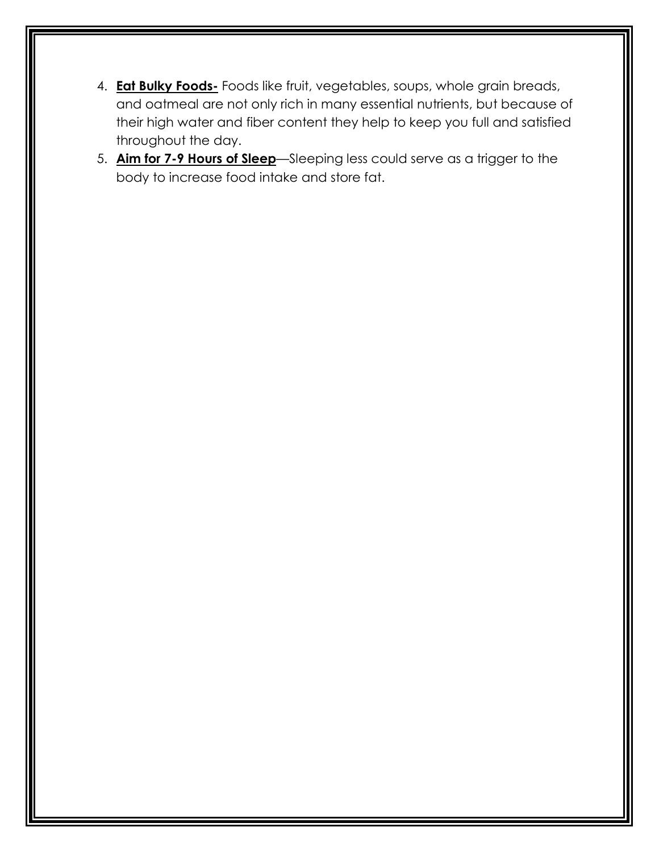- 4. **Eat Bulky Foods-** Foods like fruit, vegetables, soups, whole grain breads, and oatmeal are not only rich in many essential nutrients, but because of their high water and fiber content they help to keep you full and satisfied throughout the day.
- 5. **Aim for 7-9 Hours of Sleep**—Sleeping less could serve as a trigger to the body to increase food intake and store fat.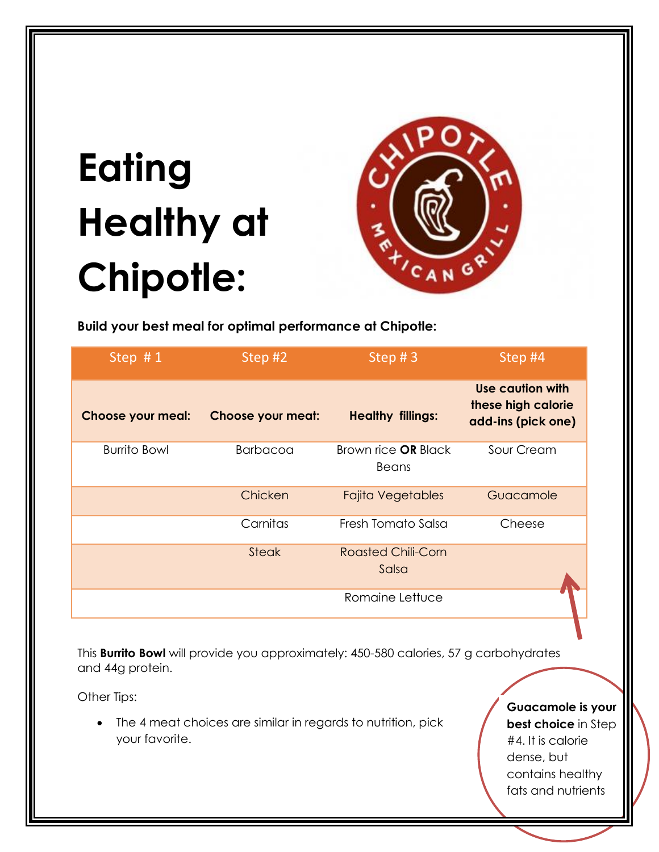# **Eating Healthy at Chipotle:**



**Build your best meal for optimal performance at Chipotle:** 

| Step $#1$                | Step #2                  | Step $# 3$                                 | Step #4                                                      |
|--------------------------|--------------------------|--------------------------------------------|--------------------------------------------------------------|
| <b>Choose your meal:</b> | <b>Choose your meat:</b> | <b>Healthy fillings:</b>                   | Use caution with<br>these high calorie<br>add-ins (pick one) |
| <b>Burrito Bowl</b>      | <b>Barbacoa</b>          | Brown rice <b>OR</b> Black<br><b>Beans</b> | Sour Cream                                                   |
|                          | Chicken                  | <b>Fajita Vegetables</b>                   | Guacamole                                                    |
|                          | Carnitas                 | Fresh Tomato Salsa                         | Cheese                                                       |
|                          | <b>Steak</b>             | <b>Roasted Chili-Corn</b><br>Salsa         |                                                              |
|                          |                          | Romaine Lettuce                            |                                                              |

This **Burrito Bowl** will provide you approximately: 450-580 calories, 57 g carbohydrates and 44g protein.

Other Tips:

 The 4 meat choices are similar in regards to nutrition, pick your favorite.

**Guacamole is your best choice** in Step #4. It is calorie dense, but

contains healthy fats and nutrients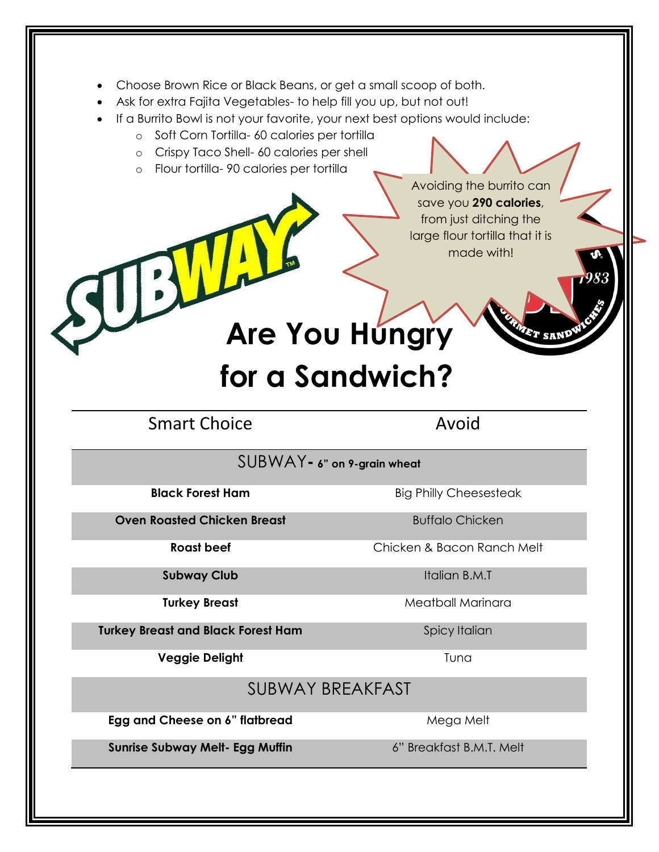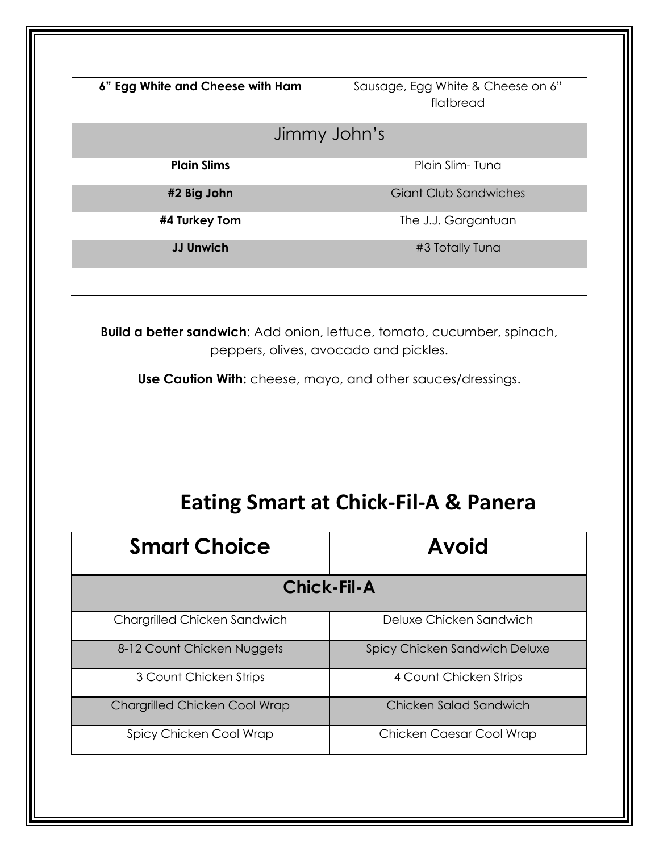**6" Egg White and Cheese with Ham** Sausage, Egg White & Cheese on 6" flatbread

# Jimmy John's

**Plain Slims** Plain Slim- Tuna

**#2 Big John** Giant Club Sandwiches

**#4 Turkey Tom** The J.J. Gargantuan

**JJ Unwich**  $\#3$  Totally Tuna

**Build a better sandwich**: Add onion, lettuce, tomato, cucumber, spinach, peppers, olives, avocado and pickles.

**Use Caution With:** cheese, mayo, and other sauces/dressings.

# **Eating Smart at Chick-Fil-A & Panera**

| <b>Smart Choice</b>                  | <b>Avoid</b>                  |  |
|--------------------------------------|-------------------------------|--|
| <b>Chick-Fil-A</b>                   |                               |  |
| Chargrilled Chicken Sandwich         | Deluxe Chicken Sandwich       |  |
| 8-12 Count Chicken Nuggets           | Spicy Chicken Sandwich Deluxe |  |
| 3 Count Chicken Strips               | 4 Count Chicken Strips        |  |
| <b>Chargrilled Chicken Cool Wrap</b> | Chicken Salad Sandwich        |  |
| Spicy Chicken Cool Wrap              | Chicken Caesar Cool Wrap      |  |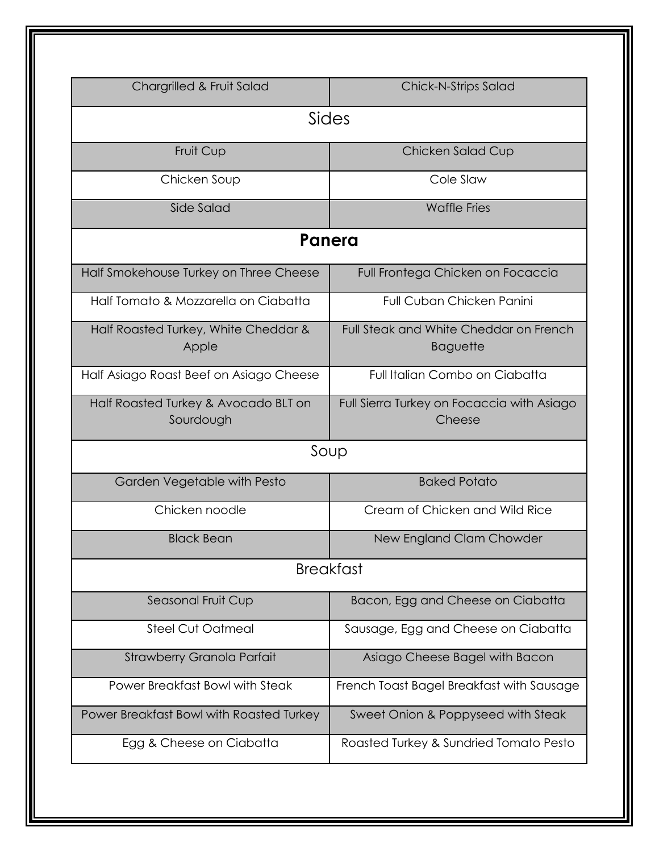| Chargrilled & Fruit Salad                         | Chick-N-Strips Salad                                      |  |  |  |
|---------------------------------------------------|-----------------------------------------------------------|--|--|--|
| Sides                                             |                                                           |  |  |  |
| Fruit Cup                                         | Chicken Salad Cup                                         |  |  |  |
| Chicken Soup                                      | Cole Slaw                                                 |  |  |  |
| Side Salad                                        | <b>Waffle Fries</b>                                       |  |  |  |
| Panera                                            |                                                           |  |  |  |
| Half Smokehouse Turkey on Three Cheese            | Full Frontega Chicken on Focaccia                         |  |  |  |
| Half Tomato & Mozzarella on Ciabatta              | <b>Full Cuban Chicken Panini</b>                          |  |  |  |
| Half Roasted Turkey, White Cheddar &<br>Apple     | Full Steak and White Cheddar on French<br><b>Baguette</b> |  |  |  |
| Half Asiago Roast Beef on Asiago Cheese           | Full Italian Combo on Ciabatta                            |  |  |  |
| Half Roasted Turkey & Avocado BLT on<br>Sourdough | Full Sierra Turkey on Focaccia with Asiago<br>Cheese      |  |  |  |
| Soup                                              |                                                           |  |  |  |
| Garden Vegetable with Pesto                       | <b>Baked Potato</b>                                       |  |  |  |
| Chicken noodle                                    | Cream of Chicken and Wild Rice                            |  |  |  |
| <b>Black Bean</b>                                 | New England Clam Chowder                                  |  |  |  |
|                                                   | <b>Breakfast</b>                                          |  |  |  |
| Seasonal Fruit Cup                                | Bacon, Egg and Cheese on Ciabatta                         |  |  |  |
| Steel Cut Oatmeal                                 | Sausage, Egg and Cheese on Ciabatta                       |  |  |  |
| Strawberry Granola Parfait                        | Asiago Cheese Bagel with Bacon                            |  |  |  |
| Power Breakfast Bowl with Steak                   | French Toast Bagel Breakfast with Sausage                 |  |  |  |
| Power Breakfast Bowl with Roasted Turkey          | Sweet Onion & Poppyseed with Steak                        |  |  |  |
| Egg & Cheese on Ciabatta                          | Roasted Turkey & Sundried Tomato Pesto                    |  |  |  |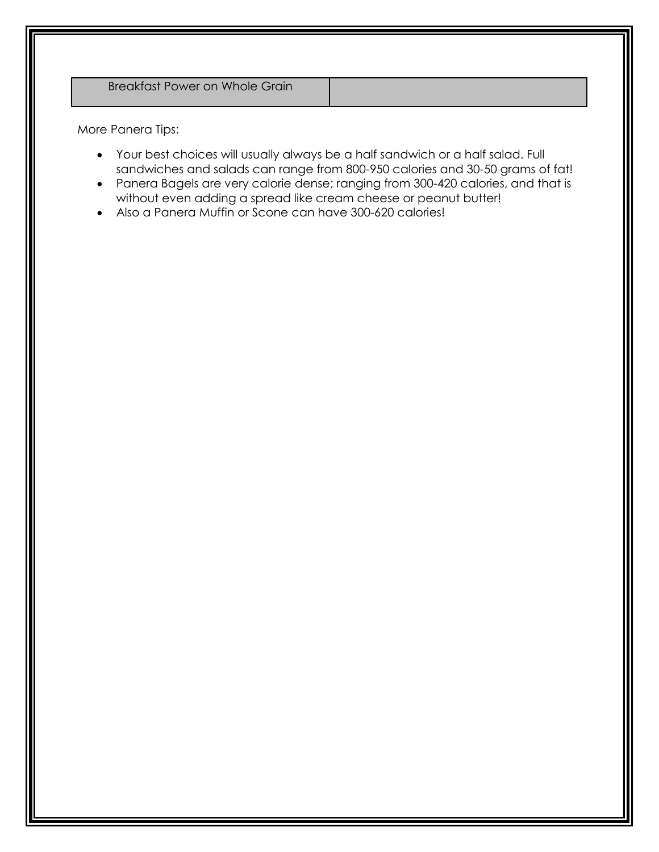More Panera Tips:

- Your best choices will usually always be a half sandwich or a half salad. Full sandwiches and salads can range from 800-950 calories and 30-50 grams of fat!
- Panera Bagels are very calorie dense; ranging from 300-420 calories, and that is without even adding a spread like cream cheese or peanut butter!
- Also a Panera Muffin or Scone can have 300-620 calories!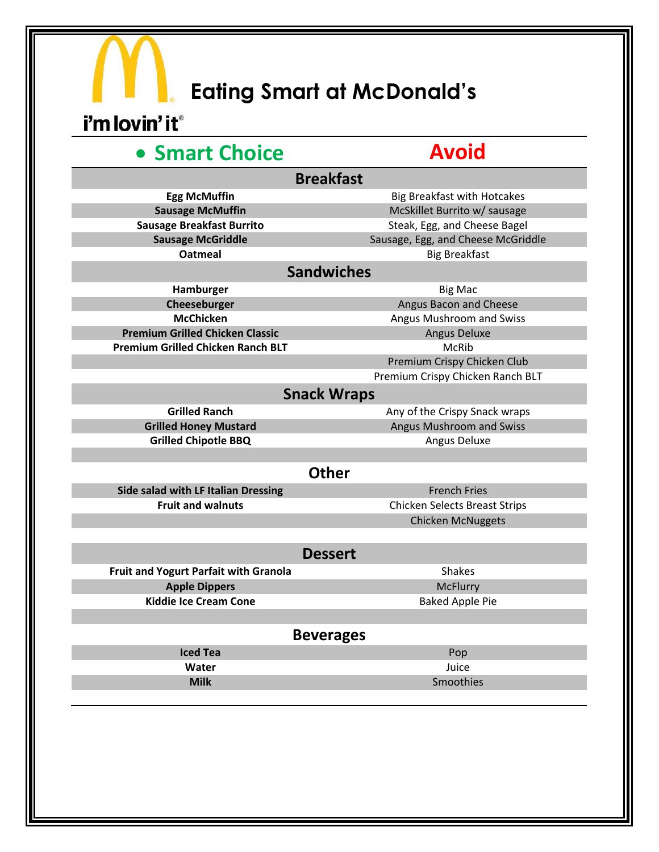# **Eating Smart at McDonald's**

# i'm lovin' it®

# **• Smart Choice Avoid**

| <b>Breakfast</b>                         |                                      |  |  |  |
|------------------------------------------|--------------------------------------|--|--|--|
| <b>Egg McMuffin</b>                      | <b>Big Breakfast with Hotcakes</b>   |  |  |  |
| <b>Sausage McMuffin</b>                  | McSkillet Burrito w/ sausage         |  |  |  |
| <b>Sausage Breakfast Burrito</b>         | Steak, Egg, and Cheese Bagel         |  |  |  |
| <b>Sausage McGriddle</b>                 | Sausage, Egg, and Cheese McGriddle   |  |  |  |
| <b>Oatmeal</b>                           | <b>Big Breakfast</b>                 |  |  |  |
| <b>Sandwiches</b>                        |                                      |  |  |  |
| Hamburger                                | <b>Big Mac</b>                       |  |  |  |
| Cheeseburger                             | Angus Bacon and Cheese               |  |  |  |
| <b>McChicken</b>                         | Angus Mushroom and Swiss             |  |  |  |
| <b>Premium Grilled Chicken Classic</b>   | <b>Angus Deluxe</b>                  |  |  |  |
| <b>Premium Grilled Chicken Ranch BLT</b> | <b>McRib</b>                         |  |  |  |
|                                          | Premium Crispy Chicken Club          |  |  |  |
|                                          | Premium Crispy Chicken Ranch BLT     |  |  |  |
| <b>Snack Wraps</b>                       |                                      |  |  |  |
| <b>Grilled Ranch</b>                     | Any of the Crispy Snack wraps        |  |  |  |
| <b>Grilled Honey Mustard</b>             | Angus Mushroom and Swiss             |  |  |  |
| <b>Grilled Chipotle BBQ</b>              | Angus Deluxe                         |  |  |  |
|                                          |                                      |  |  |  |
| <b>Other</b>                             |                                      |  |  |  |
| Side salad with LF Italian Dressing      | <b>French Fries</b>                  |  |  |  |
| <b>Fruit and walnuts</b>                 | <b>Chicken Selects Breast Strips</b> |  |  |  |
|                                          | <b>Chicken McNuggets</b>             |  |  |  |
|                                          |                                      |  |  |  |
| <b>Dessert</b>                           |                                      |  |  |  |
| Fruit and Yogurt Parfait with Granola    | <b>Shakes</b>                        |  |  |  |
| <b>Apple Dippers</b>                     | <b>McFlurry</b>                      |  |  |  |
| <b>Kiddie Ice Cream Cone</b>             | <b>Baked Apple Pie</b>               |  |  |  |
|                                          |                                      |  |  |  |
| <b>Beverages</b>                         |                                      |  |  |  |
| Iced Tea                                 | Pop                                  |  |  |  |
| Water                                    | Juice                                |  |  |  |
| <b>Milk</b>                              | Smoothies                            |  |  |  |
|                                          |                                      |  |  |  |
|                                          |                                      |  |  |  |
|                                          |                                      |  |  |  |
|                                          |                                      |  |  |  |
|                                          |                                      |  |  |  |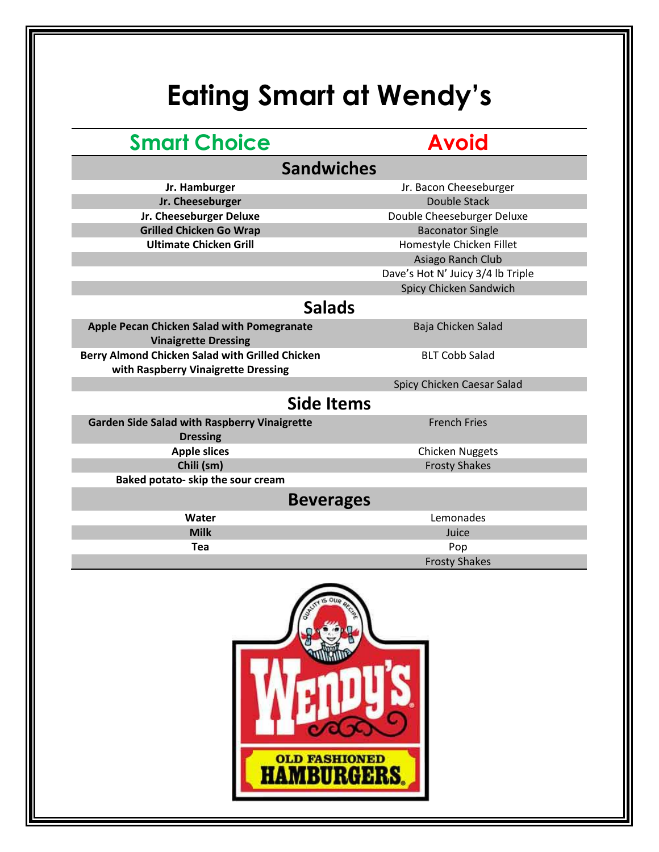# **Eating Smart at Wendy's**

# **Smart Choice Avoid**

# **Sandwiches**

**Jr. Hamburger** Jr. Bacon Cheeseburger **Jr. Cheeseburger Double Stack Jr. Cheeseburger Deluxe** Double Cheeseburger Deluxe **Grilled Chicken Go Wrap Baconator Single** Baconator Single Ultimate Chicken Grill<br>
Homestyle Chicken Fillet Asiago Ranch Club Dave's Hot N' Juicy 3/4 lb Triple

Spicy Chicken Sandwich

# **Salads**

**Apple Pecan Chicken Salad with Pomegranate Vinaigrette Dressing Berry Almond Chicken Salad with Grilled Chicken with Raspberry Vinaigrette Dressing**

Baja Chicken Salad

BLT Cobb Salad

Spicy Chicken Caesar Salad

# **Side Items**

| <b>Garden Side Salad with Raspberry Vinaigrette</b> | <b>French Fries</b>  |
|-----------------------------------------------------|----------------------|
| <b>Dressing</b>                                     |                      |
| <b>Apple slices</b>                                 | Chicken Nuggets      |
| Chili (sm)                                          | <b>Frosty Shakes</b> |
| Baked potato- skip the sour cream                   |                      |
|                                                     |                      |

#### **Beverages**

| Water       | Lemonades            |  |
|-------------|----------------------|--|
| <b>Milk</b> | Juice                |  |
| Tea         | Pop                  |  |
|             | <b>Frosty Shakes</b> |  |

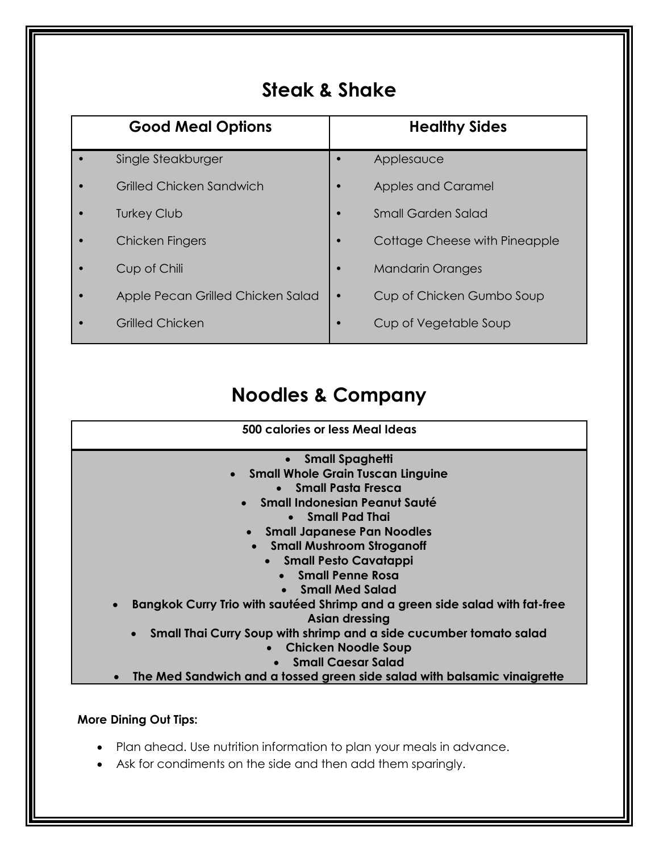# **Steak & Shake**

| <b>Good Meal Options</b>          | <b>Healthy Sides</b>          |
|-----------------------------------|-------------------------------|
| Single Steakburger                | Applesauce                    |
| Grilled Chicken Sandwich          | <b>Apples and Caramel</b>     |
| <b>Turkey Club</b>                | <b>Small Garden Salad</b>     |
| Chicken Fingers                   | Cottage Cheese with Pineapple |
| Cup of Chili                      | <b>Mandarin Oranges</b>       |
| Apple Pecan Grilled Chicken Salad | Cup of Chicken Gumbo Soup     |
| <b>Grilled Chicken</b>            | Cup of Vegetable Soup         |

# **Noodles & Company**

| 500 calories or less Meal Ideas                                                                               |
|---------------------------------------------------------------------------------------------------------------|
| • Small Spaghetti                                                                                             |
| • Small Whole Grain Tuscan Linguine                                                                           |
| • Small Pasta Fresca                                                                                          |
| • Small Indonesian Peanut Sauté                                                                               |
| • Small Pad Thai                                                                                              |
| • Small Japanese Pan Noodles                                                                                  |
| <b>Small Mushroom Stroganoff</b>                                                                              |
| • Small Pesto Cavatappi                                                                                       |
| • Small Penne Rosa                                                                                            |
| • Small Med Salad                                                                                             |
| Bangkok Curry Trio with sautéed Shrimp and a green side salad with fat-free<br>$\bullet$<br>Asian dressing    |
| Small Thai Curry Soup with shrimp and a side cucumber tomato salad<br><b>Chicken Noodle Soup</b><br>$\bullet$ |
| <b>Small Caesar Salad</b>                                                                                     |
| The Med Sandwich and a tossed green side salad with balsamic vinaigrette<br>$\bullet$                         |

#### **More Dining Out Tips:**

- Plan ahead. Use nutrition information to plan your meals in advance.
- Ask for condiments on the side and then add them sparingly.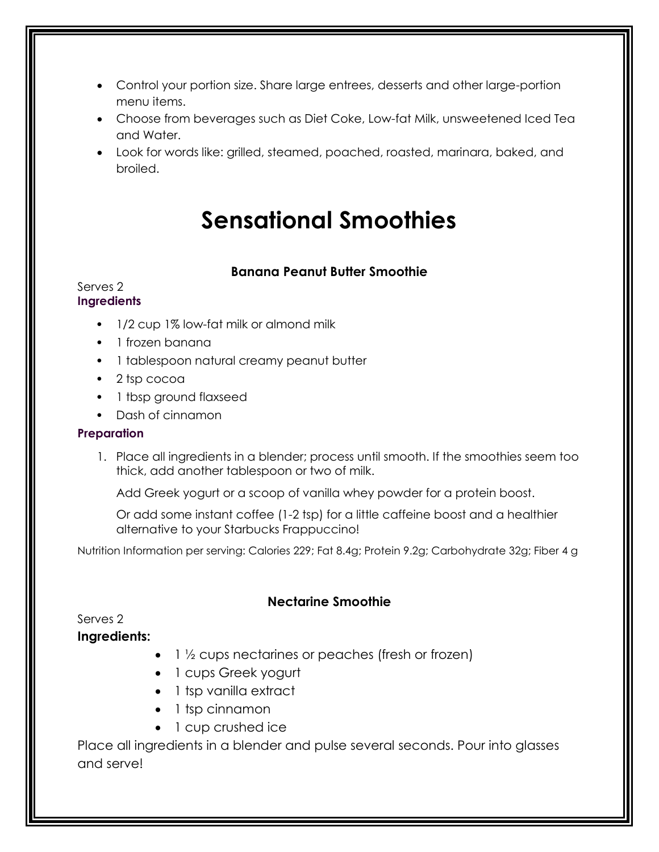- Control your portion size. Share large entrees, desserts and other large-portion menu items.
- Choose from beverages such as Diet Coke, Low-fat Milk, unsweetened Iced Tea and Water.
- Look for words like: grilled, steamed, poached, roasted, marinara, baked, and broiled.

# **Sensational Smoothies**

#### **Banana Peanut Butter Smoothie**

#### Serves 2 **Ingredients**

- 1/2 cup 1% low-fat milk or almond milk
- 1 frozen banana
- 1 tablespoon natural creamy peanut butter
- 2 tsp cocoa
- 1 tbsp ground flaxseed
- Dash of cinnamon

#### **Preparation**

1. Place all ingredients in a blender; process until smooth. If the smoothies seem too thick, add another tablespoon or two of milk.

Add Greek yogurt or a scoop of vanilla whey powder for a protein boost.

Or add some instant coffee (1-2 tsp) for a little caffeine boost and a healthier alternative to your Starbucks Frappuccino!

Nutrition Information per serving: Calories 229; Fat 8.4g; Protein 9.2g; Carbohydrate 32g; Fiber 4 g

#### **Nectarine Smoothie**

Serves 2

#### **Ingredients:**

- $\bullet$  1  $\frac{1}{2}$  cups nectarines or peaches (fresh or frozen)
- 1 cups Greek yogurt
- 1 tsp vanilla extract
- 1 tsp cinnamon
- 1 cup crushed ice

Place all ingredients in a blender and pulse several seconds. Pour into glasses and serve!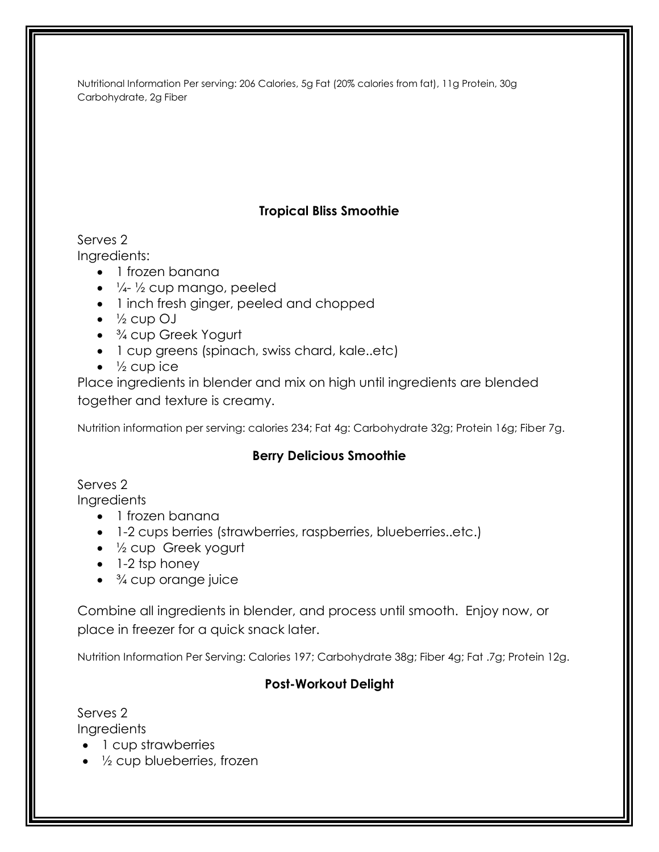Nutritional Information Per serving: 206 Calories, 5g Fat (20% calories from fat), 11g Protein, 30g Carbohydrate, 2g Fiber

# **Tropical Bliss Smoothie**

Serves 2 Ingredients:

- 1 frozen banana
- $\bullet$   $\frac{1}{4}$   $\frac{1}{2}$  cup mango, peeled
- 1 inch fresh ginger, peeled and chopped
- $\bullet\quad$   $\frac{1}{2}$  cup OJ
- <sup>3</sup>/<sub>4</sub> cup Greek Yogurt
- 1 cup greens (spinach, swiss chard, kale..etc)
- $\bullet\quad$   $\frac{1}{2}$  cup ice

Place ingredients in blender and mix on high until ingredients are blended together and texture is creamy.

Nutrition information per serving: calories 234; Fat 4g: Carbohydrate 32g; Protein 16g; Fiber 7g.

## **Berry Delicious Smoothie**

Serves 2

**Ingredients** 

- 1 frozen banana
- 1-2 cups berries (strawberries, raspberries, blueberries..etc.)
- ½ cup Greek yogurt
- $\bullet$  1-2 tsp honey
- <sup>3</sup>/4 cup orange juice

Combine all ingredients in blender, and process until smooth. Enjoy now, or place in freezer for a quick snack later.

Nutrition Information Per Serving: Calories 197; Carbohydrate 38g; Fiber 4g; Fat .7g; Protein 12g.

## **Post-Workout Delight**

Serves 2 **Ingredients** 

- 1 cup strawberries
- $\bullet$   $\frac{1}{2}$  cup blueberries, frozen